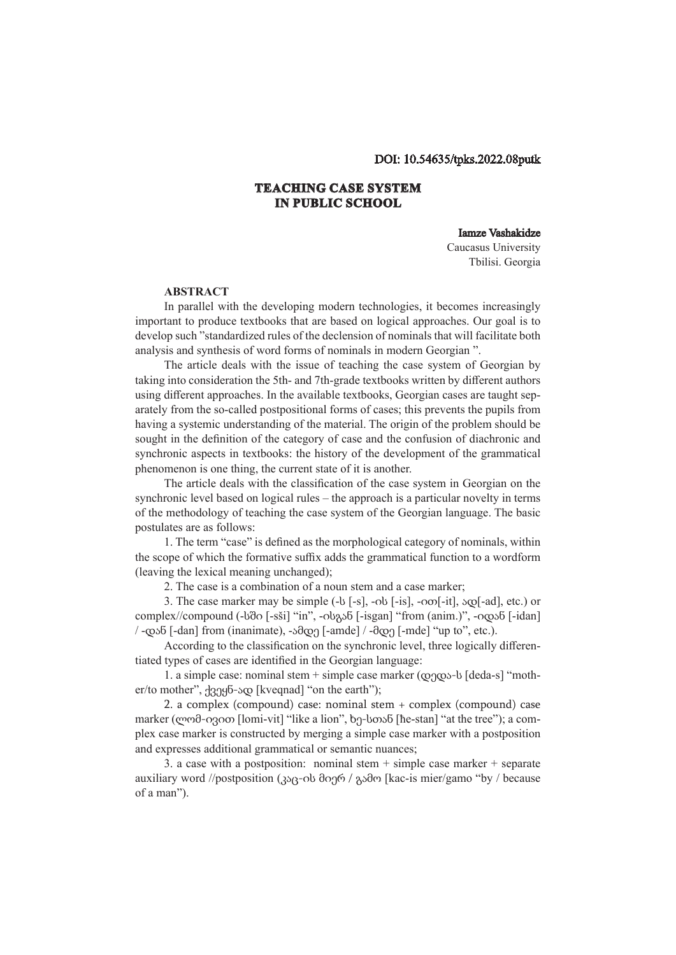## DOI: 10.54635/tpks.2022.08putk

## **TEACHING CASE SYSTEM IN PUBLIC SCHOOL**

## Iamze Vashakidze

Caucasus University Tbilisi. Georgia

## **ABSTRACT**

In parallel with the developing modern technologies, it becomes increasingly important to produce textbooks that are based on logical approaches. Our goal is to develop such "standardized rules of the declension of nominals that will facilitate both analysis and synthesis of word forms of nominals in modern Georgian ".

The article deals with the issue of teaching the case system of Georgian by taking into consideration the 5th- and 7th-grade textbooks written by different authors using different approaches. In the available textbooks, Georgian cases are taught separately from the so-called postpositional forms of cases; this prevents the pupils from having a systemic understanding of the material. The origin of the problem should be sought in the definition of the category of case and the confusion of diachronic and synchronic aspects in textbooks: the history of the development of the grammatical phenomenon is one thing, the current state of it is another.

The article deals with the classification of the case system in Georgian on the synchronic level based on logical rules – the approach is a particular novelty in terms of the methodology of teaching the case system of the Georgian language. The basic postulates are as follows:

1. The term "case" is defined as the morphological category of nominals, within the scope of which the formative suffix adds the grammatical function to a wordform (leaving the lexical meaning unchanged);

2. The case is a combination of a noun stem and a case marker;

3. The case marker may be simple (-ს [-s], -ის [-is], -ით[-it], ად[-ad], etc.) or complex//compound (-სში [-sši] "in", -ისგან [-isgan] "from (anim.)", -იდან [-idan] / -დან [-dan] from (inanimate), -ამდე [-amde] / -მდე [-mde] "up to", etc.).

According to the classification on the synchronic level, three logically differentiated types of cases are identified in the Georgian language:

1. a simple case: nominal stem + simple case marker (დედა-ს [deda-s] "mother/to mother", ქვეყნ-ად [kveqnad] "on the earth");

2. a complex (compound) case: nominal stem + complex (compound) case marker (ლომ-ივით [lomi-vit] "like a lion", ხე-სთან [ħe-stan] "at the tree"); a complex case marker is constructed by merging a simple case marker with a postposition and expresses additional grammatical or semantic nuances;

3. a case with a postposition: nominal stem  $+$  simple case marker  $+$  separate auxiliary word //postposition (კაც-ის მიერ / გამო [kac-is mier/gamo "by / because of a man").